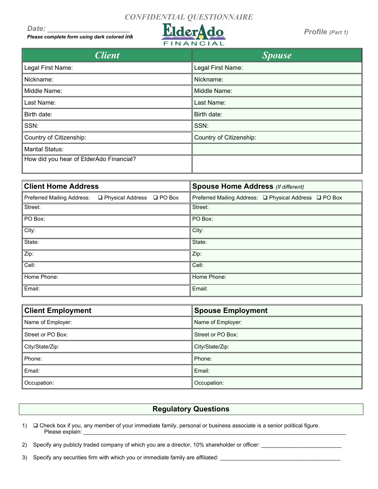## *CONFIDENTIAL QUESTIONNAIRE*

*Date: \_\_\_\_\_\_\_\_\_\_\_\_\_\_\_\_\_\_\_\_*

*Please complete form using dark colored ink*



*Profile (Part 1)*

| <i><b>Client</b></i>                    | <b>Spouse</b>           |
|-----------------------------------------|-------------------------|
| Legal First Name:                       | Legal First Name:       |
| Nickname:                               | Nickname:               |
| Middle Name:                            | Middle Name:            |
| Last Name:                              | Last Name:              |
| Birth date:                             | Birth date:             |
| SSN:                                    | SSN:                    |
| Country of Citizenship:                 | Country of Citizenship: |
| <b>Marital Status:</b>                  |                         |
| How did you hear of ElderAdo Financial? |                         |

| <b>Client Home Address</b>                                | <b>Spouse Home Address (If different)</b>              |  |
|-----------------------------------------------------------|--------------------------------------------------------|--|
| Preferred Mailing Address:<br>□ Physical Address □ PO Box | Preferred Mailing Address: □ Physical Address □ PO Box |  |
| Street:                                                   | Street:                                                |  |
| PO Box:                                                   | PO Box:                                                |  |
| City:                                                     | City:                                                  |  |
| State:                                                    | State:                                                 |  |
| Zip:                                                      | Zip:                                                   |  |
| Cell:                                                     | Cell:                                                  |  |
| Home Phone:                                               | Home Phone:                                            |  |
| Email:                                                    | Email:                                                 |  |

| <b>Client Employment</b> | <b>Spouse Employment</b> |  |
|--------------------------|--------------------------|--|
| Name of Employer:        | Name of Employer:        |  |
| Street or PO Box:        | Street or PO Box:        |  |
| City/State/Zip:          | City/State/Zip:          |  |
| Phone:                   | Phone:                   |  |
| Email:                   | Email:                   |  |
| Occupation:              | Occupation:              |  |

#### **Regulatory Questions**

- 1)  $\Box$  Check box if you, any member of your immediate family, personal or business associate is a senior political figure. Please explain: \_\_\_\_\_\_\_\_\_\_\_\_\_\_\_\_\_\_\_\_\_\_\_\_\_\_\_\_\_\_\_\_\_\_\_\_\_\_\_\_\_\_\_\_\_\_\_\_\_\_\_\_\_\_\_\_\_\_\_\_\_\_\_\_\_\_\_\_\_\_\_\_\_\_\_\_\_\_\_\_\_\_\_\_\_
- 2) Specify any publicly traded company of which you are a director, 10% shareholder or officer: \_\_\_\_\_\_\_\_\_\_\_\_\_\_\_\_\_\_\_\_

3) Specify any securities firm with which you or immediate family are affiliated: \_\_\_\_\_\_\_\_\_\_\_\_\_\_\_\_\_\_\_\_\_\_\_\_\_\_\_\_\_\_\_\_\_\_\_\_\_\_\_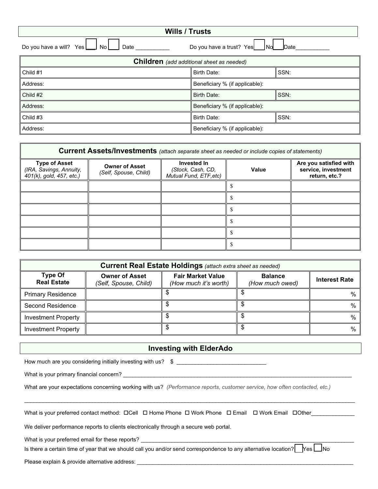| <b>Wills / Trusts</b>                                                                 |                                |      |  |
|---------------------------------------------------------------------------------------|--------------------------------|------|--|
| Do you have a will? $Yes \Box No \Box$<br>Do you have a trust? Yes No No Date<br>Date |                                |      |  |
| <b>Children</b> (add additional sheet as needed)                                      |                                |      |  |
| Child #1                                                                              | Birth Date:                    | SSN: |  |
| Address:                                                                              | Beneficiary % (if applicable): |      |  |
| Child #2                                                                              | Birth Date:                    | SSN: |  |
| Address:                                                                              | Beneficiary % (if applicable): |      |  |
| Child #3                                                                              | <b>Birth Date:</b>             | SSN: |  |
| Address:                                                                              | Beneficiary % (if applicable): |      |  |

| <b>Current Assets/Investments</b> (attach separate sheet as needed or include copies of statements) |                                                |                                                            |              |                                                                |
|-----------------------------------------------------------------------------------------------------|------------------------------------------------|------------------------------------------------------------|--------------|----------------------------------------------------------------|
| <b>Type of Asset</b><br>(IRA, Savings, Annuity,<br>401(k), gold, 457, etc.)                         | <b>Owner of Asset</b><br>(Self, Spouse, Child) | Invested In<br>(Stock, Cash, CD,<br>Mutual Fund, ETF, etc) | <b>Value</b> | Are you satisfied with<br>service, investment<br>return, etc.? |
|                                                                                                     |                                                |                                                            |              |                                                                |
|                                                                                                     |                                                |                                                            |              |                                                                |
|                                                                                                     |                                                |                                                            |              |                                                                |
|                                                                                                     |                                                |                                                            |              |                                                                |
|                                                                                                     |                                                |                                                            |              |                                                                |
|                                                                                                     |                                                |                                                            |              |                                                                |

| <b>Current Real Estate Holdings</b> (attach extra sheet as needed) |                                                |                                                   |                                   |                      |
|--------------------------------------------------------------------|------------------------------------------------|---------------------------------------------------|-----------------------------------|----------------------|
| <b>Type Of</b><br><b>Real Estate</b>                               | <b>Owner of Asset</b><br>(Self, Spouse, Child) | <b>Fair Market Value</b><br>(How much it's worth) | <b>Balance</b><br>(How much owed) | <b>Interest Rate</b> |
| <b>Primary Residence</b>                                           |                                                |                                                   |                                   | $\%$                 |
| <b>Second Residence</b>                                            |                                                |                                                   |                                   | %                    |
| <b>Investment Property</b>                                         |                                                |                                                   |                                   | %                    |
| <b>Investment Property</b>                                         |                                                |                                                   |                                   | %                    |

#### **Investing with ElderAdo**

 $\mathcal{L}_\mathcal{L} = \{ \mathcal{L}_\mathcal{L} = \{ \mathcal{L}_\mathcal{L} = \{ \mathcal{L}_\mathcal{L} = \{ \mathcal{L}_\mathcal{L} = \{ \mathcal{L}_\mathcal{L} = \{ \mathcal{L}_\mathcal{L} = \{ \mathcal{L}_\mathcal{L} = \{ \mathcal{L}_\mathcal{L} = \{ \mathcal{L}_\mathcal{L} = \{ \mathcal{L}_\mathcal{L} = \{ \mathcal{L}_\mathcal{L} = \{ \mathcal{L}_\mathcal{L} = \{ \mathcal{L}_\mathcal{L} = \{ \mathcal{L}_\mathcal{$ 

How much are you considering initially investing with us?  $\quad$   $\quad$   $\quad$ 

What is your primary financial concern?

What are your expectations concerning working with us? *(Performance reports, customer service, how often contacted, etc.)*

| What is vour preferred contact method:  ロCell  ロ Home Phone  ロ Work Phone   ロ Email   ロ Work Email   ロOther |  |  |  |
|-------------------------------------------------------------------------------------------------------------|--|--|--|
|                                                                                                             |  |  |  |

We deliver performance reports to clients electronically through a secure web portal.

What is your preferred email for these reports?

Is there a certain time of year that we should call you and/or send correspondence to any alternative location?  $\Box$  Yes  $\Box$  No

Please explain & provide alternative address: \_\_\_\_\_\_\_\_\_\_\_\_\_\_\_\_\_\_\_\_\_\_\_\_\_\_\_\_\_\_\_\_\_\_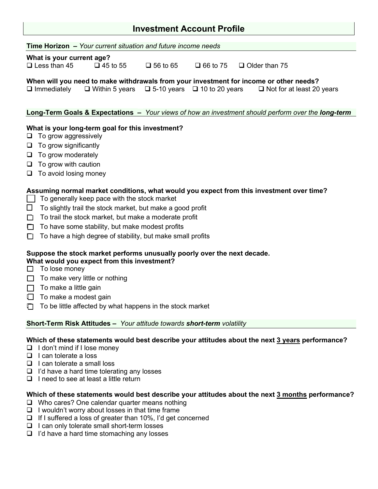## **Investment Account Profile**

**Time Horizon –** *Your current situation and future income needs*

#### **What is your current age?**

 $\Box$  Less than 45  $\Box$  45 to 55  $\Box$  56 to 65  $\Box$  66 to 75  $\Box$  Older than 75

# **When will you need to make withdrawals from your investment for income or other needs?**<br> **I** Immediately **I** Within 5 years **I** 5-10 years **I** 10 to 20 years **I** Not for at least 20 years

 $\Box$  Within 5 years  $\Box$  5-10 years  $\Box$  10 to 20 years

#### **Long-Term Goals & Expectations –** *Your views of how an investment should perform over the long-term*

#### **What is your long-term goal for this investment?**

- $\Box$  To grow aggressively
- $\Box$  To grow significantly
- $\Box$  To grow moderately
- $\Box$  To grow with caution
- $\Box$  To avoid losing money

#### **Assuming normal market conditions, what would you expect from this investment over time?**

- $\Box$  To generally keep pace with the stock market
- $\Box$  To slightly trail the stock market, but make a good profit
- $\Box$  To trail the stock market, but make a moderate profit
- $\Box$  To have some stability, but make modest profits
- $\Box$  To have a high degree of stability, but make small profits

#### **Suppose the stock market performs unusually poorly over the next decade. What would you expect from this investment?**

- $\Box$  To lose money
- $\Box$  To make very little or nothing
- $\Box$  To make a little gain
- $\Box$  To make a modest gain
- $\Box$  To be little affected by what happens in the stock market

#### **Short-Term Risk Attitudes –** *Your attitude towards short-term volatility*

#### **Which of these statements would best describe your attitudes about the next 3 years performance?**

- $\Box$  I don't mind if I lose money
- $\Box$  I can tolerate a loss
- $\Box$  I can tolerate a small loss
- $\Box$  I'd have a hard time tolerating any losses
- $\Box$  I need to see at least a little return

#### **Which of these statements would best describe your attitudes about the next 3 months performance?**

- □ Who cares? One calendar quarter means nothing
- $\Box$  I wouldn't worry about losses in that time frame
- $\Box$  If I suffered a loss of greater than 10%, I'd get concerned
- $\Box$  I can only tolerate small short-term losses
- $\Box$  I'd have a hard time stomaching any losses